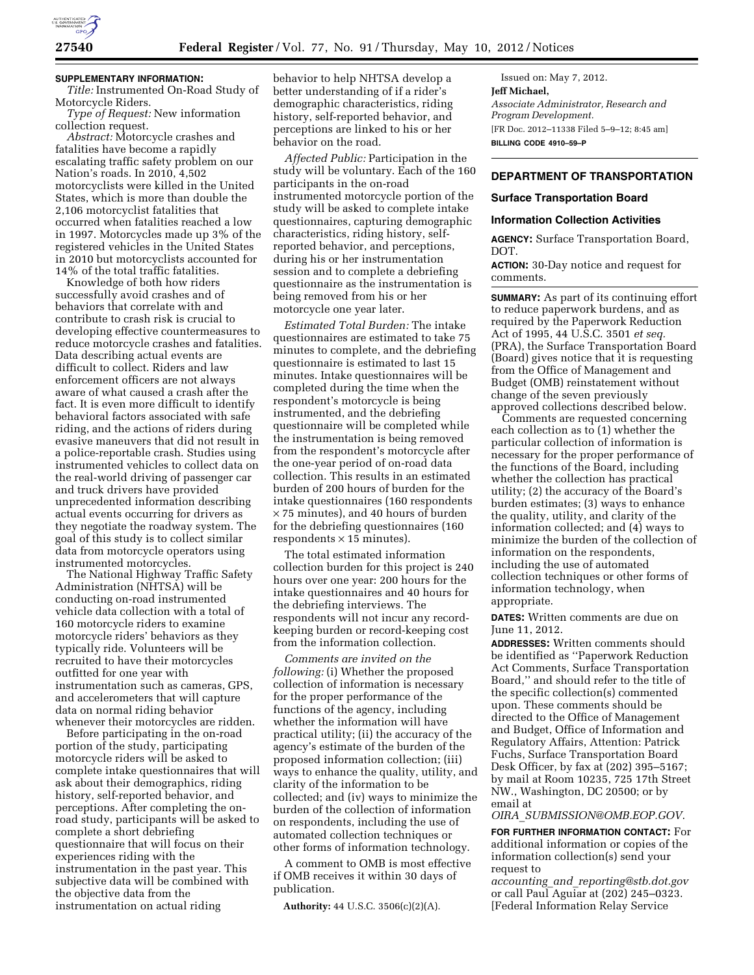

## **SUPPLEMENTARY INFORMATION:**

*Title:* Instrumented On-Road Study of Motorcycle Riders.

*Type of Request:* New information collection request.

*Abstract:* Motorcycle crashes and fatalities have become a rapidly escalating traffic safety problem on our Nation's roads. In 2010, 4,502 motorcyclists were killed in the United States, which is more than double the 2,106 motorcyclist fatalities that occurred when fatalities reached a low in 1997. Motorcycles made up 3% of the registered vehicles in the United States in 2010 but motorcyclists accounted for 14% of the total traffic fatalities.

Knowledge of both how riders successfully avoid crashes and of behaviors that correlate with and contribute to crash risk is crucial to developing effective countermeasures to reduce motorcycle crashes and fatalities. Data describing actual events are difficult to collect. Riders and law enforcement officers are not always aware of what caused a crash after the fact. It is even more difficult to identify behavioral factors associated with safe riding, and the actions of riders during evasive maneuvers that did not result in a police-reportable crash. Studies using instrumented vehicles to collect data on the real-world driving of passenger car and truck drivers have provided unprecedented information describing actual events occurring for drivers as they negotiate the roadway system. The goal of this study is to collect similar data from motorcycle operators using instrumented motorcycles.

The National Highway Traffic Safety Administration (NHTSA) will be conducting on-road instrumented vehicle data collection with a total of 160 motorcycle riders to examine motorcycle riders' behaviors as they typically ride. Volunteers will be recruited to have their motorcycles outfitted for one year with instrumentation such as cameras, GPS, and accelerometers that will capture data on normal riding behavior whenever their motorcycles are ridden.

Before participating in the on-road portion of the study, participating motorcycle riders will be asked to complete intake questionnaires that will ask about their demographics, riding history, self-reported behavior, and perceptions. After completing the onroad study, participants will be asked to complete a short debriefing questionnaire that will focus on their experiences riding with the instrumentation in the past year. This subjective data will be combined with the objective data from the instrumentation on actual riding

behavior to help NHTSA develop a better understanding of if a rider's demographic characteristics, riding history, self-reported behavior, and perceptions are linked to his or her behavior on the road.

*Affected Public:* Participation in the study will be voluntary. Each of the 160 participants in the on-road instrumented motorcycle portion of the study will be asked to complete intake questionnaires, capturing demographic characteristics, riding history, selfreported behavior, and perceptions, during his or her instrumentation session and to complete a debriefing questionnaire as the instrumentation is being removed from his or her motorcycle one year later.

*Estimated Total Burden:* The intake questionnaires are estimated to take 75 minutes to complete, and the debriefing questionnaire is estimated to last 15 minutes. Intake questionnaires will be completed during the time when the respondent's motorcycle is being instrumented, and the debriefing questionnaire will be completed while the instrumentation is being removed from the respondent's motorcycle after the one-year period of on-road data collection. This results in an estimated burden of 200 hours of burden for the intake questionnaires (160 respondents × 75 minutes), and 40 hours of burden for the debriefing questionnaires (160 respondents  $\times$  15 minutes).

The total estimated information collection burden for this project is 240 hours over one year: 200 hours for the intake questionnaires and 40 hours for the debriefing interviews. The respondents will not incur any recordkeeping burden or record-keeping cost from the information collection.

*Comments are invited on the following:* (i) Whether the proposed collection of information is necessary for the proper performance of the functions of the agency, including whether the information will have practical utility; (ii) the accuracy of the agency's estimate of the burden of the proposed information collection; (iii) ways to enhance the quality, utility, and clarity of the information to be collected; and (iv) ways to minimize the burden of the collection of information on respondents, including the use of automated collection techniques or other forms of information technology.

A comment to OMB is most effective if OMB receives it within 30 days of publication.

**Authority:** 44 U.S.C. 3506(c)(2)(A).

Issued on: May 7, 2012. **Jeff Michael,**  *Associate Administrator, Research and Program Development.*  [FR Doc. 2012–11338 Filed 5–9–12; 8:45 am] **BILLING CODE 4910–59–P** 

# **DEPARTMENT OF TRANSPORTATION**

### **Surface Transportation Board**

#### **Information Collection Activities**

**AGENCY:** Surface Transportation Board, DOT.

**ACTION:** 30-Day notice and request for comments.

**SUMMARY:** As part of its continuing effort to reduce paperwork burdens, and as required by the Paperwork Reduction Act of 1995, 44 U.S.C. 3501 *et seq.*  (PRA), the Surface Transportation Board (Board) gives notice that it is requesting from the Office of Management and Budget (OMB) reinstatement without change of the seven previously approved collections described below.

Comments are requested concerning each collection as to (1) whether the particular collection of information is necessary for the proper performance of the functions of the Board, including whether the collection has practical utility; (2) the accuracy of the Board's burden estimates; (3) ways to enhance the quality, utility, and clarity of the information collected; and (4) ways to minimize the burden of the collection of information on the respondents, including the use of automated collection techniques or other forms of information technology, when appropriate.

**DATES:** Written comments are due on June 11, 2012.

**ADDRESSES:** Written comments should be identified as ''Paperwork Reduction Act Comments, Surface Transportation Board,'' and should refer to the title of the specific collection(s) commented upon. These comments should be directed to the Office of Management and Budget, Office of Information and Regulatory Affairs, Attention: Patrick Fuchs, Surface Transportation Board Desk Officer, by fax at (202) 395–5167; by mail at Room 10235, 725 17th Street NW., Washington, DC 20500; or by email at

*OIRA*\_*[SUBMISSION@OMB.EOP.GOV](mailto:OIRA_SUBMISSION@OMB.EOP.GOV)*.

**FOR FURTHER INFORMATION CONTACT:** For additional information or copies of the information collection(s) send your request to

*accounting*\_*and*\_*[reporting@stb.dot.gov](mailto:accounting_and_reporting@stb.dot.gov)*  or call Paul Aguiar at (202) 245–0323. [Federal Information Relay Service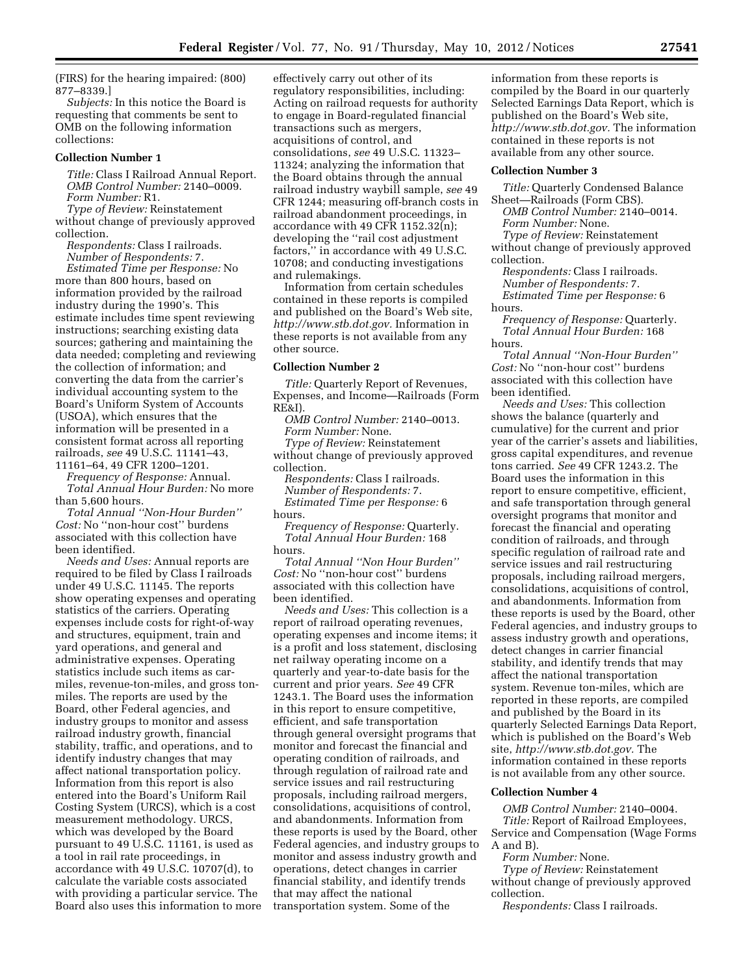(FIRS) for the hearing impaired: (800) 877–8339.]

*Subjects:* In this notice the Board is requesting that comments be sent to OMB on the following information collections:

#### **Collection Number 1**

*Title:* Class I Railroad Annual Report. *OMB Control Number:* 2140–0009. *Form Number:* R1.

*Type of Review:* Reinstatement without change of previously approved collection.

*Respondents:* Class I railroads. *Number of Respondents:* 7.

*Estimated Time per Response:* No more than 800 hours, based on information provided by the railroad industry during the 1990's. This estimate includes time spent reviewing instructions; searching existing data sources; gathering and maintaining the data needed; completing and reviewing the collection of information; and converting the data from the carrier's individual accounting system to the Board's Uniform System of Accounts (USOA), which ensures that the information will be presented in a consistent format across all reporting railroads, *see* 49 U.S.C. 11141–43, 11161–64, 49 CFR 1200–1201.

*Frequency of Response:* Annual. *Total Annual Hour Burden:* No more than 5,600 hours.

*Total Annual ''Non-Hour Burden'' Cost:* No ''non-hour cost'' burdens associated with this collection have been identified.

*Needs and Uses:* Annual reports are required to be filed by Class I railroads under 49 U.S.C. 11145. The reports show operating expenses and operating statistics of the carriers. Operating expenses include costs for right-of-way and structures, equipment, train and yard operations, and general and administrative expenses. Operating statistics include such items as carmiles, revenue-ton-miles, and gross tonmiles. The reports are used by the Board, other Federal agencies, and industry groups to monitor and assess railroad industry growth, financial stability, traffic, and operations, and to identify industry changes that may affect national transportation policy. Information from this report is also entered into the Board's Uniform Rail Costing System (URCS), which is a cost measurement methodology. URCS, which was developed by the Board pursuant to 49 U.S.C. 11161, is used as a tool in rail rate proceedings, in accordance with 49 U.S.C. 10707(d), to calculate the variable costs associated with providing a particular service. The Board also uses this information to more

effectively carry out other of its regulatory responsibilities, including: Acting on railroad requests for authority to engage in Board-regulated financial transactions such as mergers, acquisitions of control, and consolidations, *see* 49 U.S.C. 11323– 11324; analyzing the information that the Board obtains through the annual railroad industry waybill sample, *see* 49 CFR 1244; measuring off-branch costs in railroad abandonment proceedings, in accordance with 49 CFR 1152.32(n); developing the ''rail cost adjustment factors,'' in accordance with 49 U.S.C. 10708; and conducting investigations and rulemakings.

Information from certain schedules contained in these reports is compiled and published on the Board's Web site, *[http://www.stb.dot.gov.](http://www.stb.dot.gov)* Information in these reports is not available from any other source.

### **Collection Number 2**

*Title:* Quarterly Report of Revenues, Expenses, and Income—Railroads (Form RE&I).

*OMB Control Number:* 2140–0013. *Form Number:* None.

*Type of Review:* Reinstatement

without change of previously approved collection.

*Respondents:* Class I railroads. *Number of Respondents:* 7. *Estimated Time per Response:* 6

hours.

*Frequency of Response:* Quarterly. *Total Annual Hour Burden:* 168 hours.

*Total Annual ''Non Hour Burden'' Cost:* No ''non-hour cost'' burdens associated with this collection have been identified.

*Needs and Uses:* This collection is a report of railroad operating revenues, operating expenses and income items; it is a profit and loss statement, disclosing net railway operating income on a quarterly and year-to-date basis for the current and prior years. *See* 49 CFR 1243.1. The Board uses the information in this report to ensure competitive, efficient, and safe transportation through general oversight programs that monitor and forecast the financial and operating condition of railroads, and through regulation of railroad rate and service issues and rail restructuring proposals, including railroad mergers, consolidations, acquisitions of control, and abandonments. Information from these reports is used by the Board, other Federal agencies, and industry groups to monitor and assess industry growth and operations, detect changes in carrier financial stability, and identify trends that may affect the national transportation system. Some of the

information from these reports is compiled by the Board in our quarterly Selected Earnings Data Report, which is published on the Board's Web site, *[http://www.stb.dot.gov.](http://www.stb.dot.gov)* The information contained in these reports is not available from any other source.

#### **Collection Number 3**

*Title:* Quarterly Condensed Balance Sheet—Railroads (Form CBS).

*OMB Control Number:* 2140–0014. *Form Number:* None.

*Type of Review:* Reinstatement

without change of previously approved collection.

*Respondents:* Class I railroads. *Number of Respondents:* 7. *Estimated Time per Response:* 6 hours.

*Frequency of Response:* Quarterly. *Total Annual Hour Burden:* 168 hours.

*Total Annual ''Non-Hour Burden'' Cost:* No ''non-hour cost'' burdens associated with this collection have been identified.

*Needs and Uses:* This collection shows the balance (quarterly and cumulative) for the current and prior year of the carrier's assets and liabilities, gross capital expenditures, and revenue tons carried. *See* 49 CFR 1243.2. The Board uses the information in this report to ensure competitive, efficient, and safe transportation through general oversight programs that monitor and forecast the financial and operating condition of railroads, and through specific regulation of railroad rate and service issues and rail restructuring proposals, including railroad mergers, consolidations, acquisitions of control, and abandonments. Information from these reports is used by the Board, other Federal agencies, and industry groups to assess industry growth and operations, detect changes in carrier financial stability, and identify trends that may affect the national transportation system. Revenue ton-miles, which are reported in these reports, are compiled and published by the Board in its quarterly Selected Earnings Data Report, which is published on the Board's Web site, *[http://www.stb.dot.gov.](http://www.stb.dot.gov)* The information contained in these reports is not available from any other source.

## **Collection Number 4**

*OMB Control Number:* 2140–0004.

*Title:* Report of Railroad Employees, Service and Compensation (Wage Forms A and B).

*Form Number:* None.

*Type of Review:* Reinstatement without change of previously approved collection.

*Respondents:* Class I railroads.